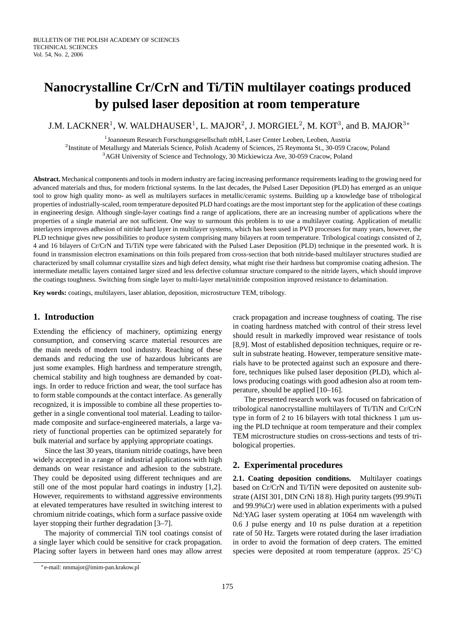# **Nanocrystalline Cr/CrN and Ti/TiN multilayer coatings produced by pulsed laser deposition at room temperature**

J.M. LACKNER $^1$ , W. WALDHAUSER $^1$ , L. MAJOR $^2$ , J. MORGIEL $^2$ , M. KOT $^3$ , and B. MAJOR $^{3\ast}$ 

<sup>1</sup> Joanneum Research Forschungsgesellschaft mbH, Laser Center Leoben, Leoben, Austria

<sup>2</sup> Institute of Metallurgy and Materials Science, Polish Academy of Sciences, 25 Reymonta St., 30-059 Cracow, Poland

<sup>3</sup>AGH University of Science and Technology, 30 Mickiewicza Ave, 30-059 Cracow, Poland

**Abstract.** Mechanical components and tools in modern industry are facing increasing performance requirements leading to the growing need for advanced materials and thus, for modern frictional systems. In the last decades, the Pulsed Laser Deposition (PLD) has emerged as an unique tool to grow high quality mono- as well as multilayers surfaces in metallic/ceramic systems. Building up a knowledge base of tribological properties of industrially-scaled, room temperature deposited PLD hard coatings are the most important step for the application of these coatings in engineering design. Although single-layer coatings find a range of applications, there are an increasing number of applications where the properties of a single material are not sufficient. One way to surmount this problem is to use a multilayer coating. Application of metallic interlayers improves adhesion of nitride hard layer in multilayer systems, which has been used in PVD processes for many years, however, the PLD technique gives new possibilities to produce system comprising many bilayers at room temperature. Tribological coatings consisted of 2, 4 and 16 bilayers of Cr/CrN and Ti/TiN type were fabricated with the Pulsed Laser Deposition (PLD) technique in the presented work. It is found in transmission electron examinations on thin foils prepared from cross-section that both nitride-based multilayer structures studied are characterized by small columnar crystallite sizes and high defect density, what might rise their hardness but compromise coating adhesion. The intermediate metallic layers contained larger sized and less defective columnar structure compared to the nitride layers, which should improve the coatings toughness. Switching from single layer to multi-layer metal/nitride composition improved resistance to delamination.

**Key words:** coatings, multilayers, laser ablation, deposition, microstructure TEM, tribology.

# **1. Introduction**

Extending the efficiency of machinery, optimizing energy consumption, and conserving scarce material resources are the main needs of modern tool industry. Reaching of these demands and reducing the use of hazardous lubricants are just some examples. High hardness and temperature strength, chemical stability and high toughness are demanded by coatings. In order to reduce friction and wear, the tool surface has to form stable compounds at the contact interface. As generally recognized, it is impossible to combine all these properties together in a single conventional tool material. Leading to tailormade composite and surface-engineered materials, a large variety of functional properties can be optimized separately for bulk material and surface by applying appropriate coatings.

Since the last 30 years, titanium nitride coatings, have been widely accepted in a range of industrial applications with high demands on wear resistance and adhesion to the substrate. They could be deposited using different techniques and are still one of the most popular hard coatings in industry [1,2]. However, requirements to withstand aggressive environments at elevated temperatures have resulted in switching interest to chromium nitride coatings, which form a surface passive oxide layer stopping their further degradation [3–7].

The majority of commercial TiN tool coatings consist of a single layer which could be sensitive for crack propagation. Placing softer layers in between hard ones may allow arrest

The presented research work was focused on fabrication of tribological nanocrystalline multilayers of Ti/TiN and Cr/CrN type in form of 2 to 16 bilayers with total thickness  $1 \mu m$  using the PLD technique at room temperature and their complex TEM microstructure studies on cross-sections and tests of tribological properties.

## **2. Experimental procedures**

**2.1. Coating deposition conditions.** Multilayer coatings based on Cr/CrN and Ti/TiN were deposited on austenite substrate (AISI 301, DIN CrNi 18 8). High purity targets (99.9%Ti and 99.9%Cr) were used in ablation experiments with a pulsed Nd:YAG laser system operating at 1064 nm wavelength with 0.6 J pulse energy and 10 ns pulse duration at a repetition rate of 50 Hz. Targets were rotated during the laser irradiation in order to avoid the formation of deep craters. The emitted species were deposited at room temperature (approx. 25<sup>°</sup>C)

crack propagation and increase toughness of coating. The rise in coating hardness matched with control of their stress level should result in markedly improved wear resistance of tools [8,9]. Most of established deposition techniques, require or result in substrate heating. However, temperature sensitive materials have to be protected against such an exposure and therefore, techniques like pulsed laser deposition (PLD), which allows producing coatings with good adhesion also at room temperature, should be applied [10–16].

<sup>∗</sup>e-mail: nmmajor@imim-pan.krakow.pl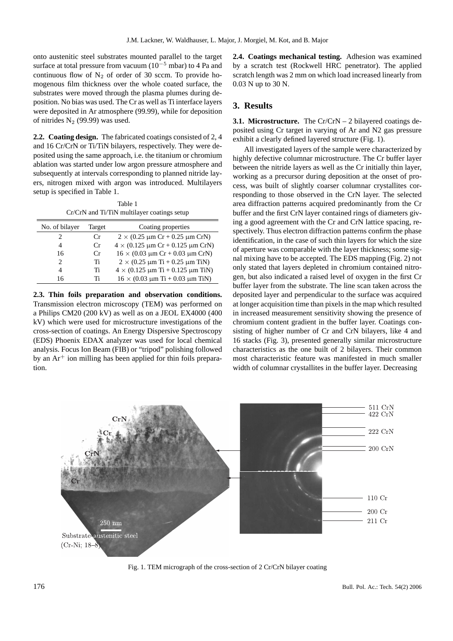onto austenitic steel substrates mounted parallel to the target surface at total pressure from vacuum ( $10^{-5}$  mbar) to 4 Pa and continuous flow of  $N_2$  of order of 30 sccm. To provide homogenous film thickness over the whole coated surface, the substrates were moved through the plasma plumes during deposition. No bias was used. The Cr as well as Ti interface layers were deposited in Ar atmosphere (99.99), while for deposition of nitrides  $N_2$  (99.99) was used.

**2.2. Coating design.** The fabricated coatings consisted of 2, 4 and 16 Cr/CrN or Ti/TiN bilayers, respectively. They were deposited using the same approach, i.e. the titanium or chromium ablation was started under low argon pressure atmosphere and subsequently at intervals corresponding to planned nitride layers, nitrogen mixed with argon was introduced. Multilayers setup is specified in Table 1.

Table 1 Cr/CrN and Ti/TiN multilayer coatings setup

| No. of bilayer | Target  | Coating properties                                    |  |
|----------------|---------|-------------------------------------------------------|--|
| 2              | $C_{r}$ | $2 \times (0.25 \mu m Cr + 0.25 \mu m CrN)$           |  |
| 4              | Cr      | $4 \times (0.125 \,\mu m \,Cr + 0.125 \,\mu m \,CrN)$ |  |
| 16             | Cr      | $16 \times (0.03 \mu m Cr + 0.03 \mu m CrN)$          |  |
| 2              | Ti      | $2 \times (0.25 \mu m Ti + 0.25 \mu m TiN)$           |  |
| 4              | Ti      | $4 \times (0.125 \mu m Ti + 0.125 \mu m Ti)$          |  |
| 16             | Ti      | $16 \times (0.03 \mu m Ti + 0.03 \mu m TiN)$          |  |

**2.3. Thin foils preparation and observation conditions.** Transmission electron microscopy (TEM) was performed on a Philips CM20 (200 kV) as well as on a JEOL EX4000 (400 kV) which were used for microstructure investigations of the cross-section of coatings. An Energy Dispersive Spectroscopy (EDS) Phoenix EDAX analyzer was used for local chemical analysis. Focus Ion Beam (FIB) or "tripod" polishing followed by an  $Ar^+$  ion milling has been applied for thin foils preparation.

**2.4. Coatings mechanical testing.** Adhesion was examined by a scratch test (Rockwell HRC penetrator). The applied scratch length was 2 mm on which load increased linearly from 0.03 N up to 30 N.

# **3. Results**

**3.1. Microstructure.** The Cr/CrN – 2 bilayered coatings deposited using Cr target in varying of Ar and N2 gas pressure exhibit a clearly defined layered structure (Fig. 1).

All investigated layers of the sample were characterized by highly defective columnar microstructure. The Cr buffer layer between the nitride layers as well as the Cr initially thin layer, working as a precursor during deposition at the onset of process, was built of slightly coarser columnar crystallites corresponding to those observed in the CrN layer. The selected area diffraction patterns acquired predominantly from the Cr buffer and the first CrN layer contained rings of diameters giving a good agreement with the Cr and CrN lattice spacing, respectively. Thus electron diffraction patterns confirm the phase identification, in the case of such thin layers for which the size of aperture was comparable with the layer thickness; some signal mixing have to be accepted. The EDS mapping (Fig. 2) not only stated that layers depleted in chromium contained nitrogen, but also indicated a raised level of oxygen in the first Cr buffer layer from the substrate. The line scan taken across the deposited layer and perpendicular to the surface was acquired at longer acquisition time than pixels in the map which resulted in increased measurement sensitivity showing the presence of chromium content gradient in the buffer layer. Coatings consisting of higher number of Cr and CrN bilayers, like 4 and 16 stacks (Fig. 3), presented generally similar microstructure characteristics as the one built of 2 bilayers. Their common most characteristic feature was manifested in much smaller width of columnar crystallites in the buffer layer. Decreasing



Fig. 1. TEM micrograph of the cross-section of 2 Cr/CrN bilayer coating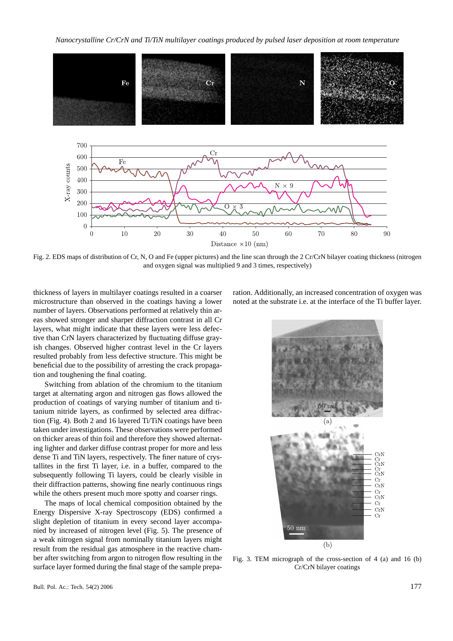*Nanocrystalline Cr/CrN and Ti/TiN multilayer coatings produced by pulsed laser deposition at room temperature*



Fig. 2. EDS maps of distribution of Cr, N, O and Fe (upper pictures) and the line scan through the 2 Cr/CrN bilayer coating thickness (nitrogen and oxygen signal was multiplied 9 and 3 times, respectively)

thickness of layers in multilayer coatings resulted in a coarser microstructure than observed in the coatings having a lower number of layers. Observations performed at relatively thin areas showed stronger and sharper diffraction contrast in all Cr layers, what might indicate that these layers were less defective than CrN layers characterized by fluctuating diffuse grayish changes. Observed higher contrast level in the Cr layers resulted probably from less defective structure. This might be beneficial due to the possibility of arresting the crack propagation and toughening the final coating.

Switching from ablation of the chromium to the titanium target at alternating argon and nitrogen gas flows allowed the production of coatings of varying number of titanium and titanium nitride layers, as confirmed by selected area diffraction (Fig. 4). Both 2 and 16 layered Ti/TiN coatings have been taken under investigations. These observations were performed on thicker areas of thin foil and therefore they showed alternating lighter and darker diffuse contrast proper for more and less dense Ti and TiN layers, respectively. The finer nature of crystallites in the first Ti layer, i.e. in a buffer, compared to the subsequently following Ti layers, could be clearly visible in their diffraction patterns, showing fine nearly continuous rings while the others present much more spotty and coarser rings.

The maps of local chemical composition obtained by the Energy Dispersive X-ray Spectroscopy (EDS) confirmed a slight depletion of titanium in every second layer accompanied by increased of nitrogen level (Fig. 5). The presence of a weak nitrogen signal from nominally titanium layers might result from the residual gas atmosphere in the reactive chamber after switching from argon to nitrogen flow resulting in the surface layer formed during the final stage of the sample preparation. Additionally, an increased concentration of oxygen was noted at the substrate i.e. at the interface of the Ti buffer layer.



Fig. 3. TEM micrograph of the cross-section of 4 (a) and 16 (b) Cr/CrN bilayer coatings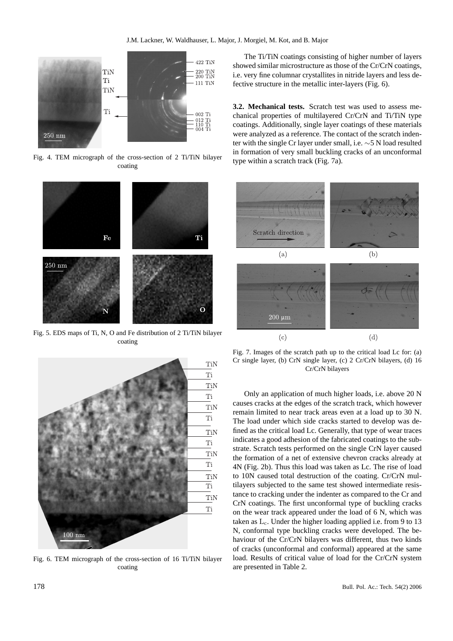

Fig. 4. TEM micrograph of the cross-section of 2 Ti/TiN bilayer coating



Fig. 5. EDS maps of Ti, N, O and Fe distribution of 2 Ti/TiN bilayer coating



Fig. 6. TEM micrograph of the cross-section of 16 Ti/TiN bilayer coating

The Ti/TiN coatings consisting of higher number of layers showed similar microstructure as those of the Cr/CrN coatings, i.e. very fine columnar crystallites in nitride layers and less defective structure in the metallic inter-layers (Fig. 6).

**3.2. Mechanical tests.** Scratch test was used to assess mechanical properties of multilayered Cr/CrN and Ti/TiN type coatings. Additionally, single layer coatings of these materials were analyzed as a reference. The contact of the scratch indenter with the single Cr layer under small, i.e. ∼5 N load resulted in formation of very small buckling cracks of an unconformal type within a scratch track (Fig. 7a).



Fig. 7. Images of the scratch path up to the critical load Lc for: (a) Cr single layer, (b) CrN single layer, (c) 2 Cr/CrN bilayers, (d) 16 Cr/CrN bilayers

Only an application of much higher loads, i.e. above 20 N causes cracks at the edges of the scratch track, which however remain limited to near track areas even at a load up to 30 N. The load under which side cracks started to develop was defined as the critical load Lc. Generally, that type of wear traces indicates a good adhesion of the fabricated coatings to the substrate. Scratch tests performed on the single CrN layer caused the formation of a net of extensive chevron cracks already at 4N (Fig. 2b). Thus this load was taken as Lc. The rise of load to 10N caused total destruction of the coating. Cr/CrN multilayers subjected to the same test showed intermediate resistance to cracking under the indenter as compared to the Cr and CrN coatings. The first unconformal type of buckling cracks on the wear track appeared under the load of 6 N, which was taken as  $L_c$ . Under the higher loading applied i.e. from 9 to 13 N, conformal type buckling cracks were developed. The behaviour of the Cr/CrN bilayers was different, thus two kinds of cracks (unconformal and conformal) appeared at the same load. Results of critical value of load for the Cr/CrN system are presented in Table 2.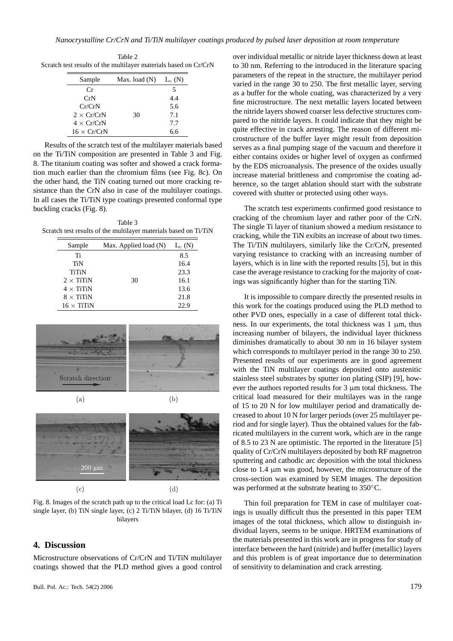Table 2 Scratch test results of the multilayer materials based on Cr/CrN

| Sample             | Max. load $(N)$ | $L_c(N)$ |
|--------------------|-----------------|----------|
| Сr                 |                 | 5        |
| CrN                |                 | 4.4      |
| Cr/CrN             |                 | 5.6      |
| $2 \times Cr/CrN$  | 30              | 7.1      |
| $4 \times Cr/CrN$  |                 | 7.7      |
| $16 \times Cr/CrN$ |                 | 6 6      |

Results of the scratch test of the multilayer materials based on the Ti/TiN composition are presented in Table 3 and Fig. 8. The titanium coating was softer and showed a crack formation much earlier than the chromium films (see Fig. 8c). On the other hand, the TiN coating turned out more cracking resistance than the CrN also in case of the multilayer coatings. In all cases the Ti/TiN type coatings presented conformal type buckling cracks (Fig. 8).

Table 3 Scratch test results of the multilayer materials based on Ti/TiN

| Sample            | Max. Applied load (N) | $L_c(N)$ |
|-------------------|-----------------------|----------|
| Ti                |                       | 8.5      |
| TiN               |                       | 16.4     |
| <b>TiTiN</b>      |                       | 23.3     |
| $2 \times$ TiTiN  | 30                    | 16.1     |
| $4 \times$ TiTiN  |                       | 13.6     |
| $8 \times$ TiTiN  |                       | 21.8     |
| $16 \times$ TiTiN |                       | 22.9     |





Fig. 8. Images of the scratch path up to the critical load Lc for: (a) Ti single layer, (b) TiN single layer, (c) 2 Ti/TiN bilayer, (d) 16 Ti/TiN bilayers

## **4. Discussion**

Microstructure observations of Cr/CrN and Ti/TiN multilayer coatings showed that the PLD method gives a good control

over individual metallic or nitride layer thickness down at least to 30 nm. Referring to the introduced in the literature spacing parameters of the repeat in the structure, the multilayer period varied in the range 30 to 250. The first metallic layer, serving as a buffer for the whole coating, was characterized by a very fine microstructure. The next metallic layers located between the nitride layers showed coarser less defective structures compared to the nitride layers. It could indicate that they might be quite effective in crack arresting. The reason of different microstructure of the buffer layer might result from deposition serves as a final pumping stage of the vacuum and therefore it either contains oxides or higher level of oxygen as confirmed by the EDS microanalysis. The presence of the oxides usually increase material brittleness and compromise the coating adherence, so the target ablation should start with the substrate covered with shutter or protected using other ways.

The scratch test experiments confirmed good resistance to cracking of the chromium layer and rather poor of the CrN. The single Ti layer of titanium showed a medium resistance to cracking, while the TiN exibits an increase of about two times. The Ti/TiN multilayers, similarly like the Cr/CrN, presented varying resistance to cracking with an increasing number of layers, which is in line with the reported results [5], but in this case the average resistance to cracking for the majority of coatings was significantly higher than for the starting TiN.

It is impossible to compare directly the presented results in this work for the coatings produced using the PLD method to other PVD ones, especially in a case of different total thickness. In our experiments, the total thickness was  $1 \mu m$ , thus increasing number of bilayers, the individual layer thickness diminishes dramatically to about 30 nm in 16 bilayer system which corresponds to multilayer period in the range 30 to 250. Presented results of our experiments are in good agreement with the TiN multilayer coatings deposited onto austenitic stainless steel substrates by sputter ion plating (SIP) [9], however the authors reported results for 3 µm total thickness. The critical load measured for their multilayes was in the range of 15 to 20 N for low multilayer period and dramatically decreased to about 10 N for larger periods (over 25 multilayer period and for single layer). Thus the obtained values for the fabricated multilayers in the current work, which are in the range of 8.5 to 23 N are optimistic. The reported in the literature [5] quality of Cr/CrN multilayers deposited by both RF magnetron sputtering and cathodic arc deposition with the total thickness close to 1.4 µm was good, however, the microstructure of the cross-section was examined by SEM images. The deposition was performed at the substrate heating to 350◦C.

Thin foil preparation for TEM in case of multilayer coatings is usually difficult thus the presented in this paper TEM images of the total thickness, which allow to distinguish individual layers, seems to be unique. HRTEM examinations of the materials presented in this work are in progress for study of interface between the hard (nitride) and buffer (metallic) layers and this problem is of great importance due to determination of sensitivity to delamination and crack arresting.